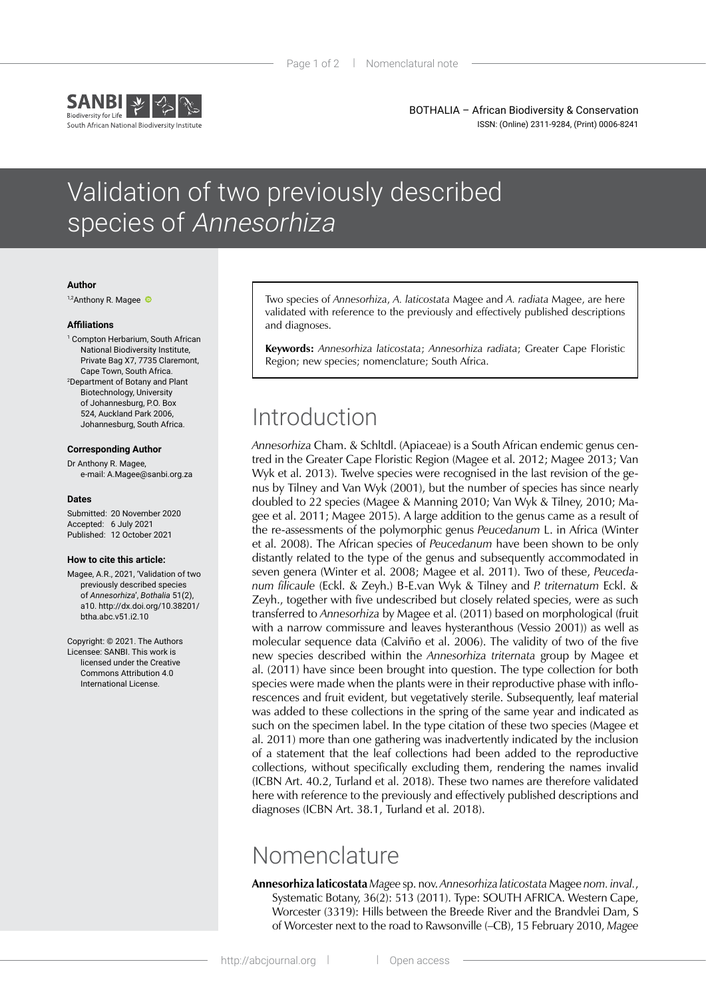

BOTHALIA – African Biodiversity & Conservation ISSN: (Online) 2311-9284, (Print) 0006-8241

# Validation of two previously described species of Annesorhiza

#### **Author**

1,2AnthonyR. Magee

### **Affiliations**

1 Compton Herbarium, South African National Biodiversity Institute, Private Bag X7, 7735 Claremont, Cape Town, South Africa. 2 Department of Botany and Plant Biotechnology, University of Johannesburg, P.O. Box 524, Auckland Park 2006, Johannesburg, South Africa.

### **Corresponding Author**

Dr Anthony R. Magee, e-mail: A.Magee@sanbi.org.za

#### **Dates**

Submitted: 20 November 2020 Accepted: 6 July 2021 Published: 12 October 2021

### **How to cite this article:**

Magee, A.R., 2021, 'Validation of two previously described species of *Annesorhiza*', *Bothalia* 51(2), a10. [http://dx.doi.org/10.38201/](http://dx.doi.org/10.38201/btha.abc.v51.i2) [btha.abc.v51.i2.](http://dx.doi.org/10.38201/btha.abc.v51.i2)10

Copyright: © 2021. The Authors Licensee: SANBI. This work is licensed under the Creative Commons Attribution 4.0 International License.

Two species of *Annesorhiza*, *A. laticostata* Magee and *A. radiata* Magee, are here validated with reference to the previously and effectively published descriptions and diagnoses.

**Keywords:** *Annesorhiza laticostata*; *Annesorhiza radiata*; Greater Cape Floristic Region; new species; nomenclature; South Africa.

# Introduction

*Annesorhiza* Cham. & Schltdl. (Apiaceae) is a South African endemic genus centred in the Greater Cape Floristic Region (Magee et al. 2012; Magee 2013; Van Wyk et al. 2013). Twelve species were recognised in the last revision of the genus by Tilney and Van Wyk (2001), but the number of species has since nearly doubled to 22 species (Magee & Manning 2010; Van Wyk & Tilney, 2010; Magee et al. 2011; Magee 2015). A large addition to the genus came as a result of the re-assessments of the polymorphic genus *Peucedanum* L. in Africa (Winter et al. 2008). The African species of *Peucedanum* have been shown to be only distantly related to the type of the genus and subsequently accommodated in seven genera (Winter et al. 2008; Magee et al. 2011). Two of these, *Peucedanum filicaule* (Eckl. & Zeyh.) B-E.van Wyk & Tilney and *P. triternatum* Eckl. & Zeyh., together with five undescribed but closely related species, were as such transferred to *Annesorhiza* by Magee et al. (2011) based on morphological (fruit with a narrow commissure and leaves hysteranthous (Vessio 2001)) as well as molecular sequence data (Calviño et al. 2006). The validity of two of the five new species described within the *Annesorhiza triternata* group by Magee et al. (2011) have since been brought into question. The type collection for both species were made when the plants were in their reproductive phase with inflorescences and fruit evident, but vegetatively sterile. Subsequently, leaf material was added to these collections in the spring of the same year and indicated as such on the specimen label. In the type citation of these two species (Magee et al. 2011) more than one gathering was inadvertently indicated by the inclusion of a statement that the leaf collections had been added to the reproductive collections, without specifically excluding them, rendering the names invalid (ICBN Art. 40.2, Turland et al. 2018). These two names are therefore validated here with reference to the previously and effectively published descriptions and diagnoses (ICBN Art. 38.1, Turland et al. 2018).

### Nomenclature

**Annesorhiza laticostata** *Magee* sp. nov. *Annesorhiza laticostata* Magee *nom. inval.*, Systematic Botany, 36(2): 513 (2011). Type: SOUTH AFRICA. Western Cape, Worcester (3319): Hills between the Breede River and the Brandvlei Dam, S of Worcester next to the road to Rawsonville (–CB), 15 February 2010, *Magee*